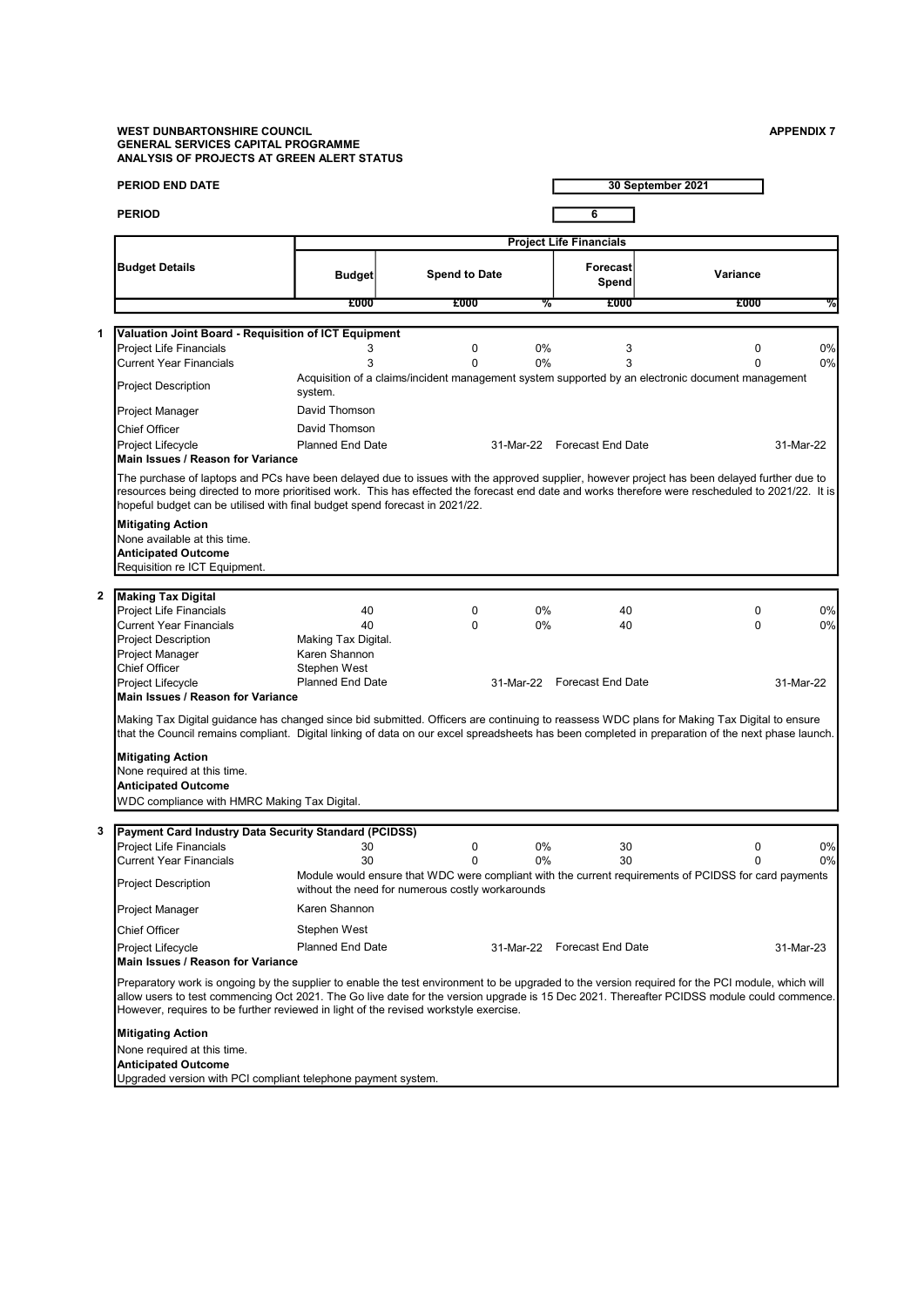#### WEST DUNBARTONSHIRE COUNCIL APPENDIX 7 AND A SERIES AND A SERIES AND A SERIES AND A SERIES AND APPENDIX 7 GENERAL SERVICES CAPITAL PROGRAMME ANALYSIS OF PROJECTS AT GREEN ALERT STATUS

|              | <b>PERIOD END DATE</b>                                                                                                                                                                                                                                                                                                                                                                                                                                                                                     |                                                                                             |                      |          |                                         | 30 September 2021                                                                                                 |                       |
|--------------|------------------------------------------------------------------------------------------------------------------------------------------------------------------------------------------------------------------------------------------------------------------------------------------------------------------------------------------------------------------------------------------------------------------------------------------------------------------------------------------------------------|---------------------------------------------------------------------------------------------|----------------------|----------|-----------------------------------------|-------------------------------------------------------------------------------------------------------------------|-----------------------|
|              | <b>PERIOD</b>                                                                                                                                                                                                                                                                                                                                                                                                                                                                                              |                                                                                             |                      |          | 6                                       |                                                                                                                   |                       |
|              |                                                                                                                                                                                                                                                                                                                                                                                                                                                                                                            |                                                                                             |                      |          | <b>Project Life Financials</b>          |                                                                                                                   |                       |
|              | <b>Budget Details</b>                                                                                                                                                                                                                                                                                                                                                                                                                                                                                      | <b>Budget</b>                                                                               | <b>Spend to Date</b> |          | Forecast<br>Spend                       | Variance                                                                                                          |                       |
|              |                                                                                                                                                                                                                                                                                                                                                                                                                                                                                                            | £000                                                                                        | £000                 | %        | £000                                    | £000                                                                                                              | %                     |
| 1            | Valuation Joint Board - Requisition of ICT Equipment                                                                                                                                                                                                                                                                                                                                                                                                                                                       |                                                                                             |                      |          |                                         |                                                                                                                   |                       |
|              | <b>Project Life Financials</b>                                                                                                                                                                                                                                                                                                                                                                                                                                                                             | 3                                                                                           | 0                    | 0%       | 3                                       | $\mathbf 0$                                                                                                       | 0%                    |
|              | <b>Current Year Financials</b>                                                                                                                                                                                                                                                                                                                                                                                                                                                                             | 3                                                                                           | 0                    | 0%       | 3                                       | $\Omega$                                                                                                          | 0%                    |
|              | <b>Project Description</b>                                                                                                                                                                                                                                                                                                                                                                                                                                                                                 | system.                                                                                     |                      |          |                                         | Acquisition of a claims/incident management system supported by an electronic document management                 |                       |
|              | Project Manager                                                                                                                                                                                                                                                                                                                                                                                                                                                                                            | David Thomson                                                                               |                      |          |                                         |                                                                                                                   |                       |
|              | <b>Chief Officer</b>                                                                                                                                                                                                                                                                                                                                                                                                                                                                                       | David Thomson                                                                               |                      |          |                                         |                                                                                                                   |                       |
|              | Project Lifecycle<br>Main Issues / Reason for Variance                                                                                                                                                                                                                                                                                                                                                                                                                                                     | <b>Planned End Date</b>                                                                     |                      |          | 31-Mar-22 Forecast End Date             |                                                                                                                   | 31-Mar-22             |
|              | The purchase of laptops and PCs have been delayed due to issues with the approved supplier, however project has been delayed further due to<br>resources being directed to more prioritised work. This has effected the forecast end date and works therefore were rescheduled to 2021/22. It is<br>hopeful budget can be utilised with final budget spend forecast in 2021/22.<br><b>Mitigating Action</b><br>None available at this time.<br><b>Anticipated Outcome</b><br>Requisition re ICT Equipment. |                                                                                             |                      |          |                                         |                                                                                                                   |                       |
| $\mathbf{2}$ | <b>Making Tax Digital</b>                                                                                                                                                                                                                                                                                                                                                                                                                                                                                  |                                                                                             |                      |          |                                         |                                                                                                                   |                       |
|              | <b>Project Life Financials</b><br><b>Current Year Financials</b><br><b>Project Description</b><br>Project Manager<br><b>Chief Officer</b><br>Project Lifecycle<br>Main Issues / Reason for Variance                                                                                                                                                                                                                                                                                                        | 40<br>40<br>Making Tax Digital.<br>Karen Shannon<br>Stephen West<br><b>Planned End Date</b> | 0<br>0               | 0%<br>0% | 40<br>40<br>31-Mar-22 Forecast End Date | 0<br>$\Omega$                                                                                                     | 0%<br>0%<br>31-Mar-22 |
|              | Making Tax Digital guidance has changed since bid submitted. Officers are continuing to reassess WDC plans for Making Tax Digital to ensure<br>that the Council remains compliant. Digital linking of data on our excel spreadsheets has been completed in preparation of the next phase launch.                                                                                                                                                                                                           |                                                                                             |                      |          |                                         |                                                                                                                   |                       |
|              | <b>Mitigating Action</b><br>None required at this time.<br><b>Anticipated Outcome</b><br>WDC compliance with HMRC Making Tax Digital.                                                                                                                                                                                                                                                                                                                                                                      |                                                                                             |                      |          |                                         |                                                                                                                   |                       |
| 3            | Payment Card Industry Data Security Standard (PCIDSS)                                                                                                                                                                                                                                                                                                                                                                                                                                                      |                                                                                             |                      |          |                                         |                                                                                                                   |                       |
|              | <b>Project Life Financials</b>                                                                                                                                                                                                                                                                                                                                                                                                                                                                             | 30                                                                                          | 0                    | 0%       | 30                                      | 0                                                                                                                 | 0%                    |
|              | <b>Current Year Financials</b><br><b>Project Description</b>                                                                                                                                                                                                                                                                                                                                                                                                                                               | 30<br>without the need for numerous costly workarounds                                      | $\Omega$             | 0%       | 30                                      | $\Omega$<br>Module would ensure that WDC were compliant with the current requirements of PCIDSS for card payments | 0%                    |
|              | Project Manager                                                                                                                                                                                                                                                                                                                                                                                                                                                                                            | Karen Shannon                                                                               |                      |          |                                         |                                                                                                                   |                       |
|              | <b>Chief Officer</b>                                                                                                                                                                                                                                                                                                                                                                                                                                                                                       | Stephen West                                                                                |                      |          |                                         |                                                                                                                   |                       |
|              | Project Lifecycle<br>Main Issues / Reason for Variance                                                                                                                                                                                                                                                                                                                                                                                                                                                     | <b>Planned End Date</b>                                                                     |                      |          | 31-Mar-22 Forecast End Date             |                                                                                                                   | 31-Mar-23             |
|              | Preparatory work is ongoing by the supplier to enable the test environment to be upgraded to the version required for the PCI module, which will<br>allow users to test commencing Oct 2021. The Go live date for the version upgrade is 15 Dec 2021. Thereafter PCIDSS module could commence.<br>However, requires to be further reviewed in light of the revised workstyle exercise.                                                                                                                     |                                                                                             |                      |          |                                         |                                                                                                                   |                       |
|              | <b>Mitigating Action</b><br>None required at this time.<br><b>Anticipated Outcome</b><br>Ungraded version with PCI compliant telephone payment system                                                                                                                                                                                                                                                                                                                                                      |                                                                                             |                      |          |                                         |                                                                                                                   |                       |

Upgraded version with PCI compliant telephone payment system.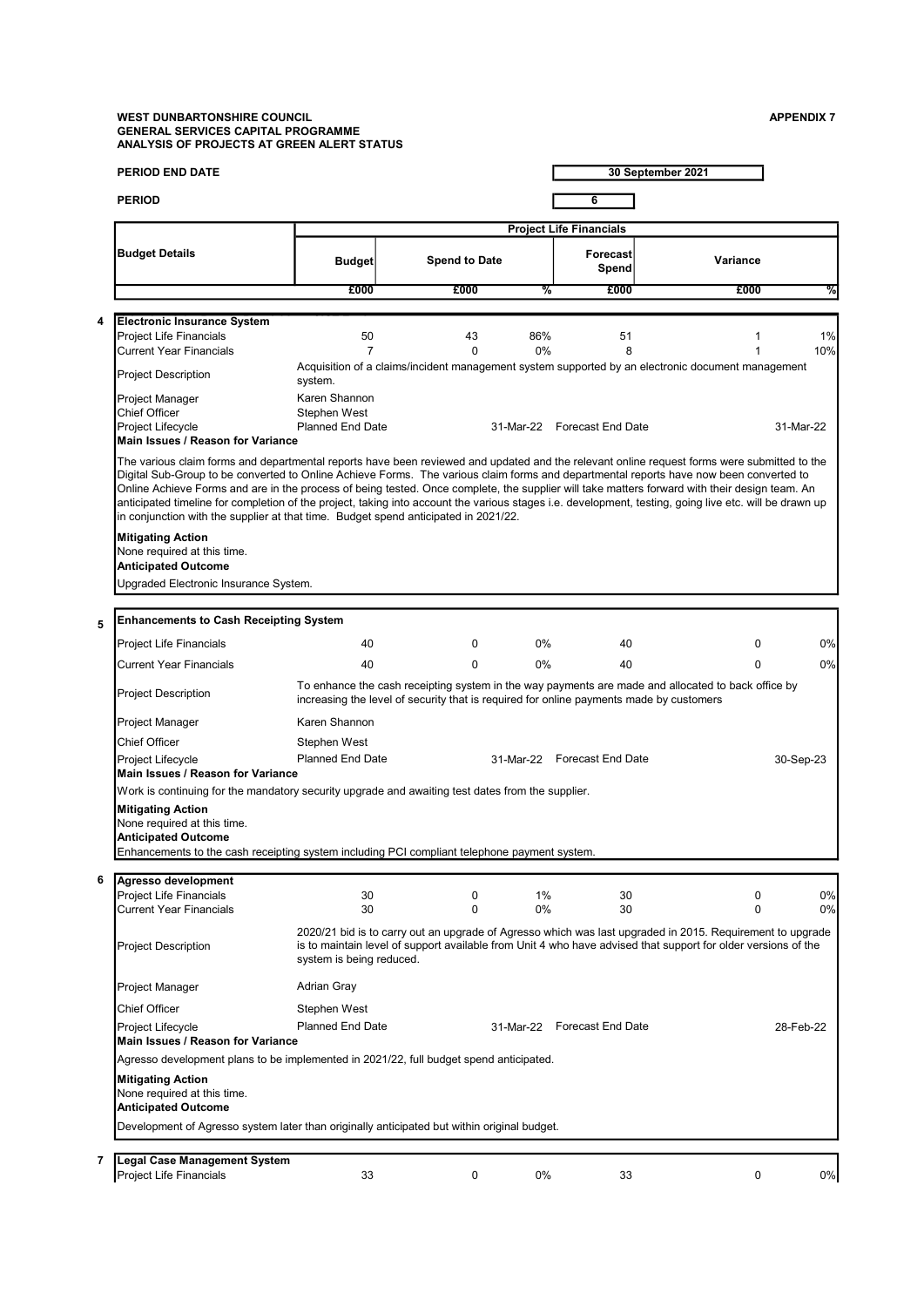### WEST DUNBARTONSHIRE COUNCIL ASSAULT AND RESERVE ASSAULT A SERVER AND APPENDIX 7 GENERAL SERVICES CAPITAL PROGRAMME ANALYSIS OF PROJECTS AT GREEN ALERT STATUS

| <b>PERIOD END DATE</b>                                                                                                                                                                                                      |                                                                                                                                                                                                                                                                                                                                                                                                                                                                                                                                                                                                                                                                                         |                      |           |                                                     | 30 September 2021                                                                                                                                                                                                               |           |  |  |
|-----------------------------------------------------------------------------------------------------------------------------------------------------------------------------------------------------------------------------|-----------------------------------------------------------------------------------------------------------------------------------------------------------------------------------------------------------------------------------------------------------------------------------------------------------------------------------------------------------------------------------------------------------------------------------------------------------------------------------------------------------------------------------------------------------------------------------------------------------------------------------------------------------------------------------------|----------------------|-----------|-----------------------------------------------------|---------------------------------------------------------------------------------------------------------------------------------------------------------------------------------------------------------------------------------|-----------|--|--|
| <b>PERIOD</b>                                                                                                                                                                                                               |                                                                                                                                                                                                                                                                                                                                                                                                                                                                                                                                                                                                                                                                                         |                      |           | 6                                                   |                                                                                                                                                                                                                                 |           |  |  |
|                                                                                                                                                                                                                             |                                                                                                                                                                                                                                                                                                                                                                                                                                                                                                                                                                                                                                                                                         |                      |           |                                                     |                                                                                                                                                                                                                                 |           |  |  |
| <b>Budget Details</b>                                                                                                                                                                                                       | <b>Budget</b>                                                                                                                                                                                                                                                                                                                                                                                                                                                                                                                                                                                                                                                                           | <b>Spend to Date</b> |           | <b>Project Life Financials</b><br>Forecast<br>Spend | Variance                                                                                                                                                                                                                        |           |  |  |
|                                                                                                                                                                                                                             | £000                                                                                                                                                                                                                                                                                                                                                                                                                                                                                                                                                                                                                                                                                    | £000                 | ळ         | £000                                                | £000                                                                                                                                                                                                                            | ℅         |  |  |
|                                                                                                                                                                                                                             |                                                                                                                                                                                                                                                                                                                                                                                                                                                                                                                                                                                                                                                                                         |                      |           |                                                     |                                                                                                                                                                                                                                 |           |  |  |
| <b>Electronic Insurance System</b><br>4<br>Project Life Financials<br><b>Current Year Financials</b>                                                                                                                        | 50<br>$\overline{7}$                                                                                                                                                                                                                                                                                                                                                                                                                                                                                                                                                                                                                                                                    | 43<br>$\Omega$       | 86%<br>0% | 51<br>8                                             | 1                                                                                                                                                                                                                               | 1%<br>10% |  |  |
| <b>Project Description</b>                                                                                                                                                                                                  | system.                                                                                                                                                                                                                                                                                                                                                                                                                                                                                                                                                                                                                                                                                 |                      |           |                                                     | Acquisition of a claims/incident management system supported by an electronic document management                                                                                                                               |           |  |  |
| Project Manager<br><b>Chief Officer</b><br>Project Lifecycle<br>Main Issues / Reason for Variance                                                                                                                           | Karen Shannon<br>Stephen West<br><b>Planned End Date</b>                                                                                                                                                                                                                                                                                                                                                                                                                                                                                                                                                                                                                                |                      |           | 31-Mar-22 Forecast End Date                         |                                                                                                                                                                                                                                 | 31-Mar-22 |  |  |
|                                                                                                                                                                                                                             | The various claim forms and departmental reports have been reviewed and updated and the relevant online request forms were submitted to the<br>Digital Sub-Group to be converted to Online Achieve Forms. The various claim forms and departmental reports have now been converted to<br>Online Achieve Forms and are in the process of being tested. Once complete, the supplier will take matters forward with their design team. An<br>anticipated timeline for completion of the project, taking into account the various stages i.e. development, testing, going live etc. will be drawn up<br>in conjunction with the supplier at that time. Budget spend anticipated in 2021/22. |                      |           |                                                     |                                                                                                                                                                                                                                 |           |  |  |
| <b>Mitigating Action</b><br>None required at this time.<br><b>Anticipated Outcome</b><br>Upgraded Electronic Insurance System.                                                                                              |                                                                                                                                                                                                                                                                                                                                                                                                                                                                                                                                                                                                                                                                                         |                      |           |                                                     |                                                                                                                                                                                                                                 |           |  |  |
| <b>Enhancements to Cash Receipting System</b>                                                                                                                                                                               |                                                                                                                                                                                                                                                                                                                                                                                                                                                                                                                                                                                                                                                                                         |                      |           |                                                     |                                                                                                                                                                                                                                 |           |  |  |
| 5<br><b>Project Life Financials</b>                                                                                                                                                                                         | 40                                                                                                                                                                                                                                                                                                                                                                                                                                                                                                                                                                                                                                                                                      | 0                    | 0%        | 40                                                  | 0                                                                                                                                                                                                                               | 0%        |  |  |
| Current Year Financials                                                                                                                                                                                                     | 40                                                                                                                                                                                                                                                                                                                                                                                                                                                                                                                                                                                                                                                                                      | $\Omega$             | $0\%$     | 40                                                  | $\Omega$                                                                                                                                                                                                                        | 0%        |  |  |
| To enhance the cash receipting system in the way payments are made and allocated to back office by<br><b>Project Description</b><br>increasing the level of security that is required for online payments made by customers |                                                                                                                                                                                                                                                                                                                                                                                                                                                                                                                                                                                                                                                                                         |                      |           |                                                     |                                                                                                                                                                                                                                 |           |  |  |
| Project Manager                                                                                                                                                                                                             | Karen Shannon                                                                                                                                                                                                                                                                                                                                                                                                                                                                                                                                                                                                                                                                           |                      |           |                                                     |                                                                                                                                                                                                                                 |           |  |  |
| Chief Officer                                                                                                                                                                                                               | Stephen West                                                                                                                                                                                                                                                                                                                                                                                                                                                                                                                                                                                                                                                                            |                      |           |                                                     |                                                                                                                                                                                                                                 |           |  |  |
| Project Lifecycle<br>Main Issues / Reason for Variance                                                                                                                                                                      | <b>Planned End Date</b>                                                                                                                                                                                                                                                                                                                                                                                                                                                                                                                                                                                                                                                                 |                      |           | 31-Mar-22 Forecast End Date                         |                                                                                                                                                                                                                                 | 30-Sep-23 |  |  |
| <b>Mitigating Action</b><br>None required at this time.<br><b>Anticipated Outcome</b>                                                                                                                                       | Work is continuing for the mandatory security upgrade and awaiting test dates from the supplier.<br>Enhancements to the cash receipting system including PCI compliant telephone payment system.                                                                                                                                                                                                                                                                                                                                                                                                                                                                                        |                      |           |                                                     |                                                                                                                                                                                                                                 |           |  |  |
| 6<br>Agresso development                                                                                                                                                                                                    |                                                                                                                                                                                                                                                                                                                                                                                                                                                                                                                                                                                                                                                                                         |                      |           |                                                     |                                                                                                                                                                                                                                 |           |  |  |
| Project Life Financials                                                                                                                                                                                                     | 30                                                                                                                                                                                                                                                                                                                                                                                                                                                                                                                                                                                                                                                                                      | 0                    | 1%        | 30                                                  | 0                                                                                                                                                                                                                               | 0%        |  |  |
| Current Year Financials<br><b>Project Description</b>                                                                                                                                                                       | 30<br>system is being reduced.                                                                                                                                                                                                                                                                                                                                                                                                                                                                                                                                                                                                                                                          | 0                    | 0%        | 30                                                  | 0<br>2020/21 bid is to carry out an upgrade of Agresso which was last upgraded in 2015. Requirement to upgrade<br>is to maintain level of support available from Unit 4 who have advised that support for older versions of the | 0%        |  |  |
| Project Manager                                                                                                                                                                                                             | Adrian Gray                                                                                                                                                                                                                                                                                                                                                                                                                                                                                                                                                                                                                                                                             |                      |           |                                                     |                                                                                                                                                                                                                                 |           |  |  |
| Chief Officer                                                                                                                                                                                                               | Stephen West                                                                                                                                                                                                                                                                                                                                                                                                                                                                                                                                                                                                                                                                            |                      |           |                                                     |                                                                                                                                                                                                                                 |           |  |  |
| Project Lifecycle                                                                                                                                                                                                           | <b>Planned End Date</b>                                                                                                                                                                                                                                                                                                                                                                                                                                                                                                                                                                                                                                                                 |                      |           | 31-Mar-22 Forecast End Date                         |                                                                                                                                                                                                                                 | 28-Feb-22 |  |  |
| Main Issues / Reason for Variance                                                                                                                                                                                           | Agresso development plans to be implemented in 2021/22, full budget spend anticipated.                                                                                                                                                                                                                                                                                                                                                                                                                                                                                                                                                                                                  |                      |           |                                                     |                                                                                                                                                                                                                                 |           |  |  |
| <b>Mitigating Action</b><br>None required at this time.                                                                                                                                                                     |                                                                                                                                                                                                                                                                                                                                                                                                                                                                                                                                                                                                                                                                                         |                      |           |                                                     |                                                                                                                                                                                                                                 |           |  |  |
| Anticipated Outcome                                                                                                                                                                                                         |                                                                                                                                                                                                                                                                                                                                                                                                                                                                                                                                                                                                                                                                                         |                      |           |                                                     |                                                                                                                                                                                                                                 |           |  |  |
|                                                                                                                                                                                                                             | Development of Agresso system later than originally anticipated but within original budget.                                                                                                                                                                                                                                                                                                                                                                                                                                                                                                                                                                                             |                      |           |                                                     |                                                                                                                                                                                                                                 |           |  |  |
| <b>Legal Case Management System</b><br>7                                                                                                                                                                                    |                                                                                                                                                                                                                                                                                                                                                                                                                                                                                                                                                                                                                                                                                         |                      |           |                                                     |                                                                                                                                                                                                                                 |           |  |  |
| Project Life Financials                                                                                                                                                                                                     | 33                                                                                                                                                                                                                                                                                                                                                                                                                                                                                                                                                                                                                                                                                      | 0                    | 0%        | 33                                                  | 0                                                                                                                                                                                                                               | 0%        |  |  |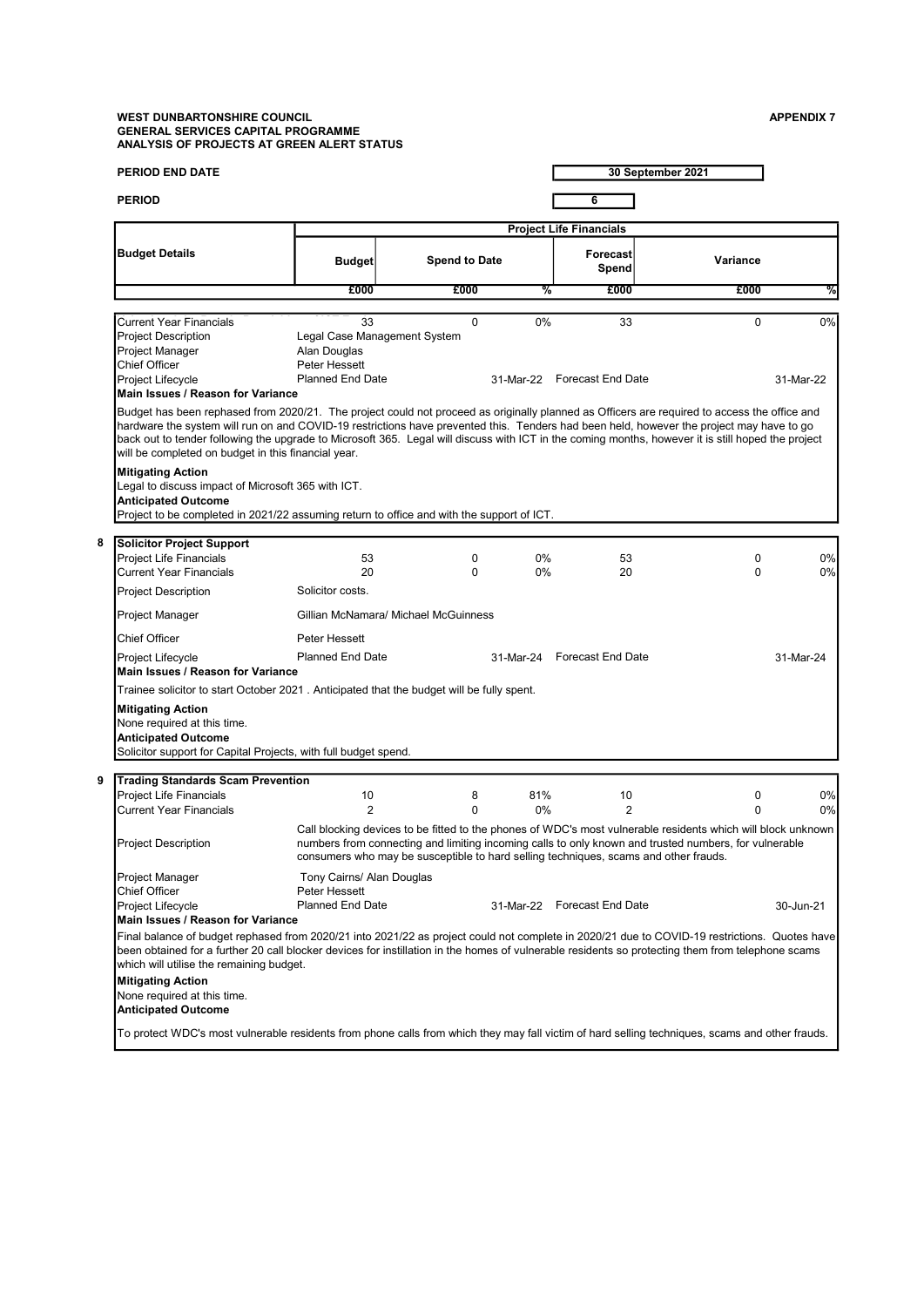### WEST DUNBARTONSHIRE COUNCIL ASSAULT AND RESERVE ASSAULT A SERVER AND APPENDIX 7 GENERAL SERVICES CAPITAL PROGRAMME ANALYSIS OF PROJECTS AT GREEN ALERT STATUS

8

9

| <b>PERIOD END DATE</b>                                                                                                                                                                                                                                                                                                                                                                                                                                                                                |                                                                       |                                                                                      |           |                                | 30 September 2021                                                                                                                                                                                                     |           |
|-------------------------------------------------------------------------------------------------------------------------------------------------------------------------------------------------------------------------------------------------------------------------------------------------------------------------------------------------------------------------------------------------------------------------------------------------------------------------------------------------------|-----------------------------------------------------------------------|--------------------------------------------------------------------------------------|-----------|--------------------------------|-----------------------------------------------------------------------------------------------------------------------------------------------------------------------------------------------------------------------|-----------|
| <b>PERIOD</b>                                                                                                                                                                                                                                                                                                                                                                                                                                                                                         |                                                                       |                                                                                      |           | 6                              |                                                                                                                                                                                                                       |           |
|                                                                                                                                                                                                                                                                                                                                                                                                                                                                                                       |                                                                       |                                                                                      |           | <b>Project Life Financials</b> |                                                                                                                                                                                                                       |           |
| <b>Budget Details</b>                                                                                                                                                                                                                                                                                                                                                                                                                                                                                 | <b>Budget</b>                                                         | <b>Spend to Date</b>                                                                 |           | <b>Forecast</b><br>Spend       | Variance                                                                                                                                                                                                              |           |
|                                                                                                                                                                                                                                                                                                                                                                                                                                                                                                       | £000                                                                  | £000                                                                                 | %         | £000                           | £000                                                                                                                                                                                                                  | %         |
| <b>Current Year Financials</b>                                                                                                                                                                                                                                                                                                                                                                                                                                                                        | 33                                                                    | $\Omega$                                                                             | 0%        | 33                             | $\mathbf 0$                                                                                                                                                                                                           | $0\%$     |
| <b>Project Description</b><br>Project Manager<br><b>Chief Officer</b><br>Project Lifecycle<br>Main Issues / Reason for Variance                                                                                                                                                                                                                                                                                                                                                                       | Alan Douglas<br>Peter Hessett<br><b>Planned End Date</b>              | Legal Case Management System                                                         |           | 31-Mar-22 Forecast End Date    |                                                                                                                                                                                                                       | 31-Mar-22 |
| Budget has been rephased from 2020/21. The project could not proceed as originally planned as Officers are required to access the office and<br>hardware the system will run on and COVID-19 restrictions have prevented this. Tenders had been held, however the project may have to go<br>back out to tender following the upgrade to Microsoft 365. Legal will discuss with ICT in the coming months, however it is still hoped the project<br>will be completed on budget in this financial year. |                                                                       |                                                                                      |           |                                |                                                                                                                                                                                                                       |           |
| <b>Mitigating Action</b><br>Legal to discuss impact of Microsoft 365 with ICT.<br><b>Anticipated Outcome</b><br>Project to be completed in 2021/22 assuming return to office and with the support of ICT.                                                                                                                                                                                                                                                                                             |                                                                       |                                                                                      |           |                                |                                                                                                                                                                                                                       |           |
| <b>Solicitor Project Support</b>                                                                                                                                                                                                                                                                                                                                                                                                                                                                      |                                                                       |                                                                                      |           |                                |                                                                                                                                                                                                                       |           |
| <b>Project Life Financials</b><br><b>Current Year Financials</b>                                                                                                                                                                                                                                                                                                                                                                                                                                      | 53<br>20                                                              | 0<br>0                                                                               | 0%<br>0%  | 53<br>20                       | 0<br>0                                                                                                                                                                                                                | 0%<br>0%  |
| <b>Project Description</b>                                                                                                                                                                                                                                                                                                                                                                                                                                                                            | Solicitor costs.                                                      |                                                                                      |           |                                |                                                                                                                                                                                                                       |           |
| Project Manager                                                                                                                                                                                                                                                                                                                                                                                                                                                                                       |                                                                       | Gillian McNamara/ Michael McGuinness                                                 |           |                                |                                                                                                                                                                                                                       |           |
| <b>Chief Officer</b>                                                                                                                                                                                                                                                                                                                                                                                                                                                                                  | Peter Hessett                                                         |                                                                                      |           |                                |                                                                                                                                                                                                                       |           |
| Project Lifecycle<br>Main Issues / Reason for Variance                                                                                                                                                                                                                                                                                                                                                                                                                                                | <b>Planned End Date</b>                                               |                                                                                      | 31-Mar-24 | <b>Forecast End Date</b>       |                                                                                                                                                                                                                       | 31-Mar-24 |
| Trainee solicitor to start October 2021. Anticipated that the budget will be fully spent.                                                                                                                                                                                                                                                                                                                                                                                                             |                                                                       |                                                                                      |           |                                |                                                                                                                                                                                                                       |           |
| <b>Mitigating Action</b><br>None required at this time.<br><b>Anticipated Outcome</b><br>Solicitor support for Capital Projects, with full budget spend.                                                                                                                                                                                                                                                                                                                                              |                                                                       |                                                                                      |           |                                |                                                                                                                                                                                                                       |           |
| <b>Trading Standards Scam Prevention</b>                                                                                                                                                                                                                                                                                                                                                                                                                                                              |                                                                       |                                                                                      |           |                                |                                                                                                                                                                                                                       |           |
| <b>Project Life Financials</b><br><b>Current Year Financials</b>                                                                                                                                                                                                                                                                                                                                                                                                                                      | 10<br>$\overline{2}$                                                  | 8<br>0                                                                               | 81%<br>0% | 10<br>2                        | 0<br>$\Omega$                                                                                                                                                                                                         | 0%<br>0%  |
| Project Description                                                                                                                                                                                                                                                                                                                                                                                                                                                                                   |                                                                       | consumers who may be susceptible to hard selling techniques, scams and other frauds. |           |                                | Call blocking devices to be fitted to the phones of WDC's most vulnerable residents which will block unknown<br>numbers from connecting and limiting incoming calls to only known and trusted numbers, for vulnerable |           |
| Project Manager<br><b>Chief Officer</b><br>Project Lifecycle<br>Main Issues / Reason for Variance                                                                                                                                                                                                                                                                                                                                                                                                     | Tony Cairns/ Alan Douglas<br>Peter Hessett<br><b>Planned End Date</b> |                                                                                      |           | 31-Mar-22 Forecast End Date    |                                                                                                                                                                                                                       | 30-Jun-21 |
| Final balance of budget rephased from 2020/21 into 2021/22 as project could not complete in 2020/21 due to COVID-19 restrictions. Quotes have<br>been obtained for a further 20 call blocker devices for instillation in the homes of vulnerable residents so protecting them from telephone scams<br>which will utilise the remaining budget.                                                                                                                                                        |                                                                       |                                                                                      |           |                                |                                                                                                                                                                                                                       |           |
| <b>Mitigating Action</b><br>None required at this time.<br><b>Anticipated Outcome</b>                                                                                                                                                                                                                                                                                                                                                                                                                 |                                                                       |                                                                                      |           |                                |                                                                                                                                                                                                                       |           |
| To protect WDC's most vulnerable residents from phone calls from which they may fall victim of hard selling techniques, scams and other frauds.                                                                                                                                                                                                                                                                                                                                                       |                                                                       |                                                                                      |           |                                |                                                                                                                                                                                                                       |           |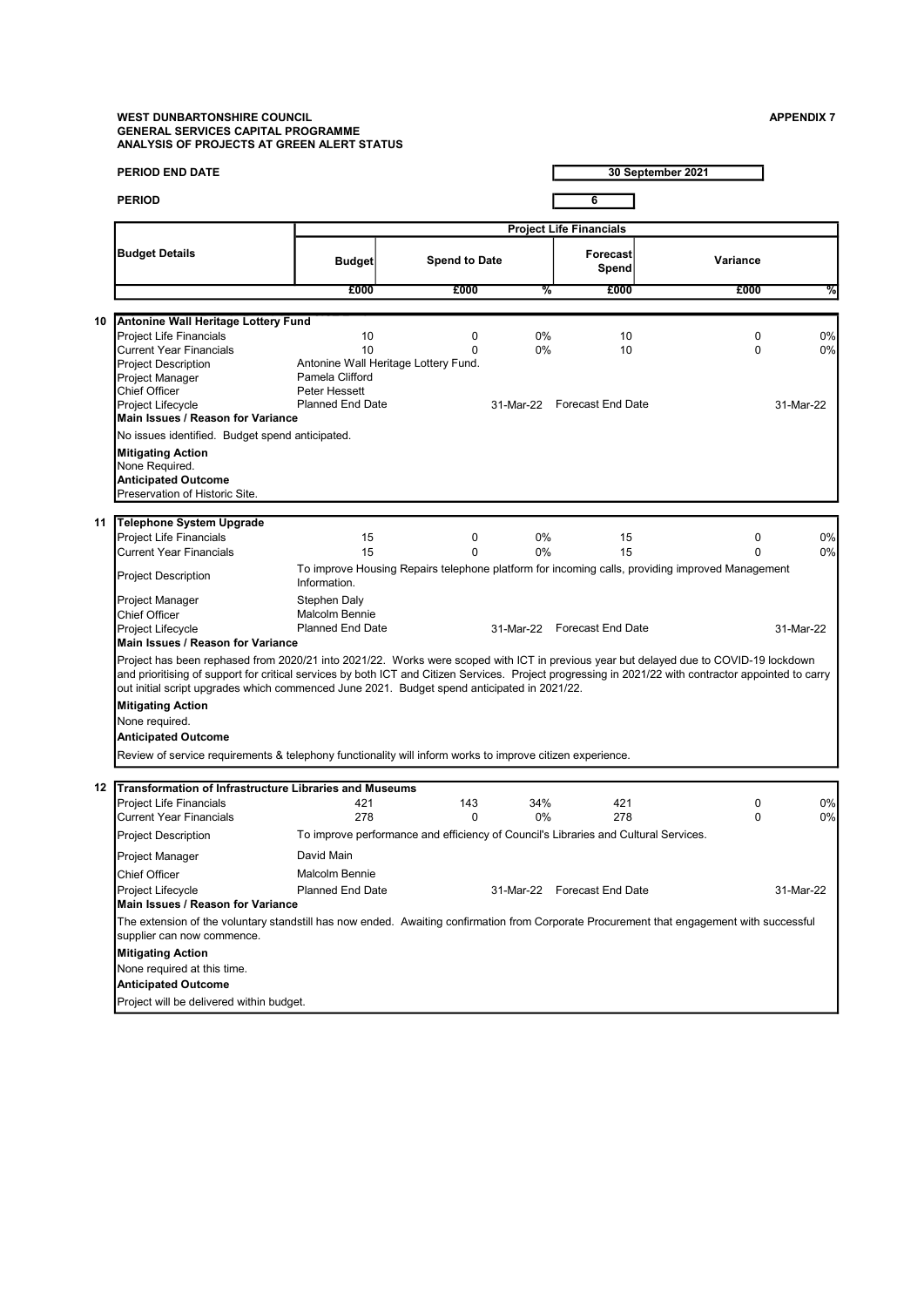### WEST DUNBARTONSHIRE COUNCIL APPENDIX 7 AND A SERIES AND A SERIES AND A SERIES AND A SERIES AND APPENDIX 7 GENERAL SERVICES CAPITAL PROGRAMME ANALYSIS OF PROJECTS AT GREEN ALERT STATUS

|    | <b>PERIOD END DATE</b>                                                                                                                                                                                                                                                                                                                                                                        |                                                                  |                                                                                     |          |                                         | 30 September 2021                                                                               |                          |
|----|-----------------------------------------------------------------------------------------------------------------------------------------------------------------------------------------------------------------------------------------------------------------------------------------------------------------------------------------------------------------------------------------------|------------------------------------------------------------------|-------------------------------------------------------------------------------------|----------|-----------------------------------------|-------------------------------------------------------------------------------------------------|--------------------------|
|    | <b>PERIOD</b>                                                                                                                                                                                                                                                                                                                                                                                 |                                                                  |                                                                                     |          | 6                                       |                                                                                                 |                          |
|    |                                                                                                                                                                                                                                                                                                                                                                                               |                                                                  |                                                                                     |          | <b>Project Life Financials</b>          |                                                                                                 |                          |
|    | <b>Budget Details</b>                                                                                                                                                                                                                                                                                                                                                                         | <b>Budget</b>                                                    | <b>Spend to Date</b>                                                                |          | <b>Forecast</b><br>Spend                | Variance                                                                                        |                          |
|    |                                                                                                                                                                                                                                                                                                                                                                                               | £000                                                             | £000                                                                                | %        | £000                                    | £000                                                                                            | %                        |
|    |                                                                                                                                                                                                                                                                                                                                                                                               |                                                                  |                                                                                     |          |                                         |                                                                                                 |                          |
| 10 | Antonine Wall Heritage Lottery Fund<br>Project Life Financials<br><b>Current Year Financials</b><br><b>Project Description</b><br>Project Manager<br><b>Chief Officer</b><br>Project Lifecycle<br>Main Issues / Reason for Variance                                                                                                                                                           | 10<br>10<br>Pamela Clifford<br>Peter Hessett<br>Planned End Date | 0<br>$\Omega$<br>Antonine Wall Heritage Lottery Fund.                               | 0%<br>0% | 10<br>10<br>31-Mar-22 Forecast End Date | 0<br>$\Omega$                                                                                   | $0\%$<br>0%<br>31-Mar-22 |
|    | No issues identified. Budget spend anticipated.                                                                                                                                                                                                                                                                                                                                               |                                                                  |                                                                                     |          |                                         |                                                                                                 |                          |
|    | <b>Mitigating Action</b><br>None Required.<br><b>Anticipated Outcome</b><br>Preservation of Historic Site.                                                                                                                                                                                                                                                                                    |                                                                  |                                                                                     |          |                                         |                                                                                                 |                          |
| 11 | <b>Telephone System Upgrade</b>                                                                                                                                                                                                                                                                                                                                                               |                                                                  |                                                                                     |          |                                         |                                                                                                 |                          |
|    | <b>Project Life Financials</b>                                                                                                                                                                                                                                                                                                                                                                | 15                                                               | 0                                                                                   | 0%       | 15                                      | 0                                                                                               | 0%                       |
|    | <b>Current Year Financials</b>                                                                                                                                                                                                                                                                                                                                                                | 15                                                               | $\Omega$                                                                            | 0%       | 15                                      | $\Omega$                                                                                        | $0\%$                    |
|    | <b>Project Description</b>                                                                                                                                                                                                                                                                                                                                                                    | Information.                                                     |                                                                                     |          |                                         | To improve Housing Repairs telephone platform for incoming calls, providing improved Management |                          |
|    | Project Manager                                                                                                                                                                                                                                                                                                                                                                               | Stephen Daly                                                     |                                                                                     |          |                                         |                                                                                                 |                          |
|    | <b>Chief Officer</b><br>Project Lifecycle                                                                                                                                                                                                                                                                                                                                                     | <b>Malcolm Bennie</b><br><b>Planned End Date</b>                 |                                                                                     |          | 31-Mar-22 Forecast End Date             |                                                                                                 | 31-Mar-22                |
|    | Main Issues / Reason for Variance                                                                                                                                                                                                                                                                                                                                                             |                                                                  |                                                                                     |          |                                         |                                                                                                 |                          |
|    | Project has been rephased from 2020/21 into 2021/22. Works were scoped with ICT in previous year but delayed due to COVID-19 lockdown<br>and prioritising of support for critical services by both ICT and Citizen Services. Project progressing in 2021/22 with contractor appointed to carry<br>out initial script upgrades which commenced June 2021. Budget spend anticipated in 2021/22. |                                                                  |                                                                                     |          |                                         |                                                                                                 |                          |
|    | <b>Mitigating Action</b><br>None required.                                                                                                                                                                                                                                                                                                                                                    |                                                                  |                                                                                     |          |                                         |                                                                                                 |                          |
|    | <b>Anticipated Outcome</b>                                                                                                                                                                                                                                                                                                                                                                    |                                                                  |                                                                                     |          |                                         |                                                                                                 |                          |
|    | Review of service requirements & telephony functionality will inform works to improve citizen experience.                                                                                                                                                                                                                                                                                     |                                                                  |                                                                                     |          |                                         |                                                                                                 |                          |
|    | 12 Transformation of Infrastructure Libraries and Museums                                                                                                                                                                                                                                                                                                                                     |                                                                  |                                                                                     |          |                                         |                                                                                                 |                          |
|    | <b>Project Life Financials</b>                                                                                                                                                                                                                                                                                                                                                                | 421                                                              | 143                                                                                 | 34%      | 421                                     | 0                                                                                               | $0\%$                    |
|    | <b>Current Year Financials</b>                                                                                                                                                                                                                                                                                                                                                                | 278                                                              | $\Omega$                                                                            | 0%       | 278                                     | $\Omega$                                                                                        | $0\%$                    |
|    | <b>Project Description</b>                                                                                                                                                                                                                                                                                                                                                                    |                                                                  | To improve performance and efficiency of Council's Libraries and Cultural Services. |          |                                         |                                                                                                 |                          |
|    | Project Manager                                                                                                                                                                                                                                                                                                                                                                               | David Main                                                       |                                                                                     |          |                                         |                                                                                                 |                          |
|    | <b>Chief Officer</b>                                                                                                                                                                                                                                                                                                                                                                          | <b>Malcolm Bennie</b>                                            |                                                                                     |          |                                         |                                                                                                 |                          |
|    | Project Lifecycle<br>Main Issues / Reason for Variance                                                                                                                                                                                                                                                                                                                                        | <b>Planned End Date</b>                                          |                                                                                     |          | 31-Mar-22 Forecast End Date             |                                                                                                 | 31-Mar-22                |
|    | The extension of the voluntary standstill has now ended. Awaiting confirmation from Corporate Procurement that engagement with successful<br>supplier can now commence.                                                                                                                                                                                                                       |                                                                  |                                                                                     |          |                                         |                                                                                                 |                          |
|    | <b>Mitigating Action</b>                                                                                                                                                                                                                                                                                                                                                                      |                                                                  |                                                                                     |          |                                         |                                                                                                 |                          |
|    | None required at this time.                                                                                                                                                                                                                                                                                                                                                                   |                                                                  |                                                                                     |          |                                         |                                                                                                 |                          |
|    | <b>Anticipated Outcome</b>                                                                                                                                                                                                                                                                                                                                                                    |                                                                  |                                                                                     |          |                                         |                                                                                                 |                          |
|    | Project will be delivered within budget.                                                                                                                                                                                                                                                                                                                                                      |                                                                  |                                                                                     |          |                                         |                                                                                                 |                          |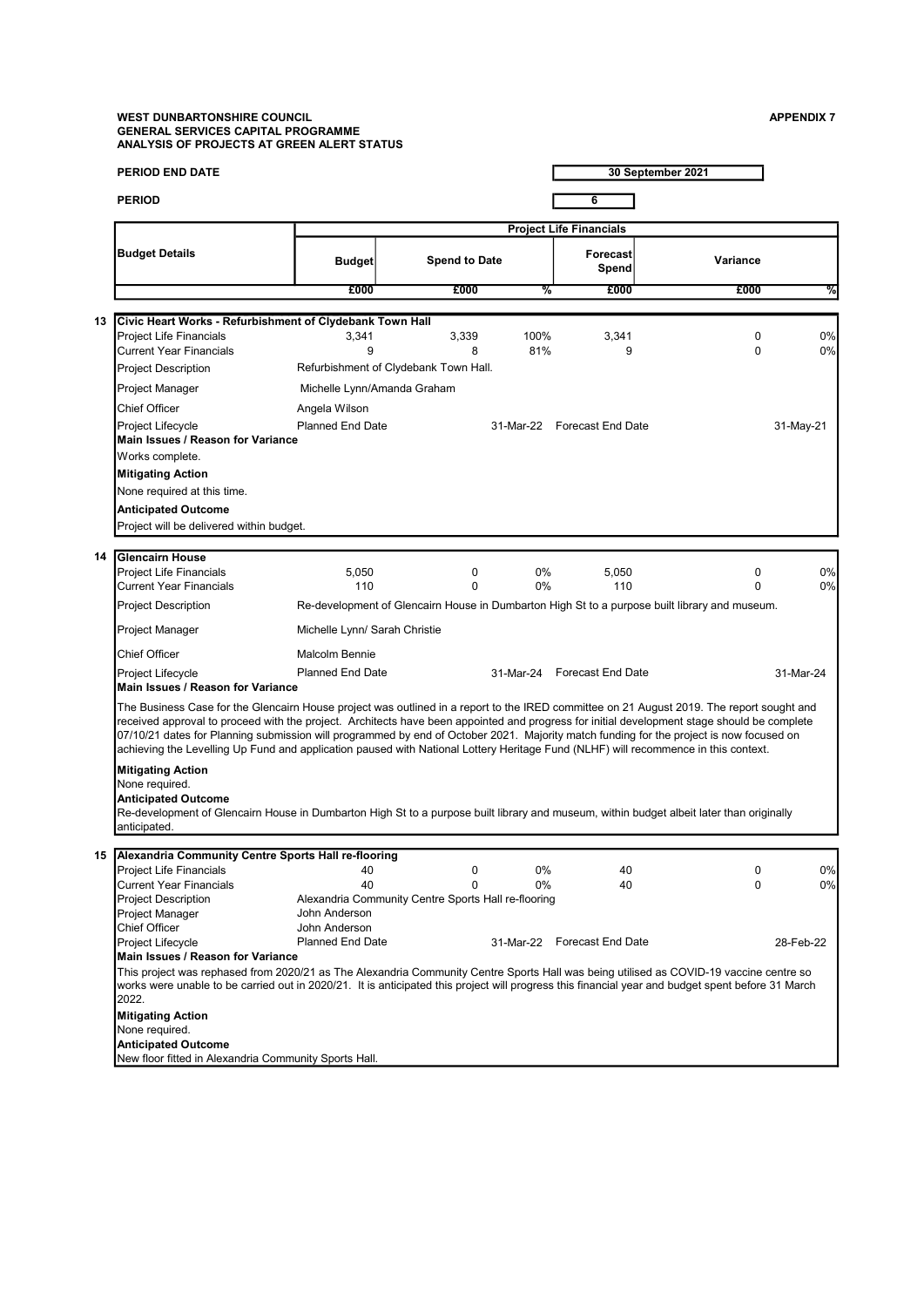# WEST DUNBARTONSHIRE COUNCIL ASSOCIATED AND RESERVE A SERVER ASSOCIATED AND APPENDIX 7 GENERAL SERVICES CAPITAL PROGRAMME ANALYSIS OF PROJECTS AT GREEN ALERT STATUS

|    | <b>PERIOD END DATE</b>                                                                                                                                                                                                                                                                                                                                                                                                                                                                                                                                                    |                                |                                                     |             |                                | 30 September 2021                                                                             |           |
|----|---------------------------------------------------------------------------------------------------------------------------------------------------------------------------------------------------------------------------------------------------------------------------------------------------------------------------------------------------------------------------------------------------------------------------------------------------------------------------------------------------------------------------------------------------------------------------|--------------------------------|-----------------------------------------------------|-------------|--------------------------------|-----------------------------------------------------------------------------------------------|-----------|
|    | <b>PERIOD</b>                                                                                                                                                                                                                                                                                                                                                                                                                                                                                                                                                             |                                |                                                     |             | 6                              |                                                                                               |           |
|    |                                                                                                                                                                                                                                                                                                                                                                                                                                                                                                                                                                           |                                |                                                     |             | <b>Project Life Financials</b> |                                                                                               |           |
|    | <b>Budget Details</b>                                                                                                                                                                                                                                                                                                                                                                                                                                                                                                                                                     | <b>Budget</b>                  | <b>Spend to Date</b>                                |             | <b>Forecast</b><br>Spend       | Variance                                                                                      |           |
|    |                                                                                                                                                                                                                                                                                                                                                                                                                                                                                                                                                                           | £000                           | £000                                                | %           | £000                           | £000                                                                                          | ℅         |
|    |                                                                                                                                                                                                                                                                                                                                                                                                                                                                                                                                                                           |                                |                                                     |             |                                |                                                                                               |           |
| 13 | Civic Heart Works - Refurbishment of Clydebank Town Hall                                                                                                                                                                                                                                                                                                                                                                                                                                                                                                                  |                                |                                                     |             |                                |                                                                                               |           |
|    | Project Life Financials<br><b>Current Year Financials</b>                                                                                                                                                                                                                                                                                                                                                                                                                                                                                                                 | 3,341<br>9                     | 3,339<br>8                                          | 100%<br>81% | 3,341<br>9                     | 0<br>$\Omega$                                                                                 | 0%<br>0%  |
|    | <b>Project Description</b>                                                                                                                                                                                                                                                                                                                                                                                                                                                                                                                                                |                                | Refurbishment of Clydebank Town Hall.               |             |                                |                                                                                               |           |
|    |                                                                                                                                                                                                                                                                                                                                                                                                                                                                                                                                                                           |                                |                                                     |             |                                |                                                                                               |           |
|    | Project Manager                                                                                                                                                                                                                                                                                                                                                                                                                                                                                                                                                           | Michelle Lynn/Amanda Graham    |                                                     |             |                                |                                                                                               |           |
|    | <b>Chief Officer</b>                                                                                                                                                                                                                                                                                                                                                                                                                                                                                                                                                      | Angela Wilson                  |                                                     |             |                                |                                                                                               |           |
|    | Project Lifecycle<br>Main Issues / Reason for Variance                                                                                                                                                                                                                                                                                                                                                                                                                                                                                                                    | <b>Planned End Date</b>        |                                                     |             | 31-Mar-22 Forecast End Date    |                                                                                               | 31-May-21 |
|    | Works complete.                                                                                                                                                                                                                                                                                                                                                                                                                                                                                                                                                           |                                |                                                     |             |                                |                                                                                               |           |
|    | <b>Mitigating Action</b>                                                                                                                                                                                                                                                                                                                                                                                                                                                                                                                                                  |                                |                                                     |             |                                |                                                                                               |           |
|    | None required at this time.                                                                                                                                                                                                                                                                                                                                                                                                                                                                                                                                               |                                |                                                     |             |                                |                                                                                               |           |
|    | <b>Anticipated Outcome</b>                                                                                                                                                                                                                                                                                                                                                                                                                                                                                                                                                |                                |                                                     |             |                                |                                                                                               |           |
|    | Project will be delivered within budget.                                                                                                                                                                                                                                                                                                                                                                                                                                                                                                                                  |                                |                                                     |             |                                |                                                                                               |           |
|    |                                                                                                                                                                                                                                                                                                                                                                                                                                                                                                                                                                           |                                |                                                     |             |                                |                                                                                               |           |
| 14 | <b>Glencairn House</b><br><b>Project Life Financials</b>                                                                                                                                                                                                                                                                                                                                                                                                                                                                                                                  |                                |                                                     |             |                                |                                                                                               |           |
|    | <b>Current Year Financials</b>                                                                                                                                                                                                                                                                                                                                                                                                                                                                                                                                            | 5,050<br>110                   | 0<br>$\mathbf 0$                                    | 0%<br>$0\%$ | 5,050<br>110                   | 0<br>$\Omega$                                                                                 | 0%<br>0%  |
|    | <b>Project Description</b>                                                                                                                                                                                                                                                                                                                                                                                                                                                                                                                                                |                                |                                                     |             |                                | Re-development of Glencairn House in Dumbarton High St to a purpose built library and museum. |           |
|    | Project Manager                                                                                                                                                                                                                                                                                                                                                                                                                                                                                                                                                           | Michelle Lynn/ Sarah Christie  |                                                     |             |                                |                                                                                               |           |
|    | Chief Officer                                                                                                                                                                                                                                                                                                                                                                                                                                                                                                                                                             | <b>Malcolm Bennie</b>          |                                                     |             |                                |                                                                                               |           |
|    | Project Lifecycle                                                                                                                                                                                                                                                                                                                                                                                                                                                                                                                                                         | <b>Planned End Date</b>        |                                                     |             | 31-Mar-24 Forecast End Date    |                                                                                               | 31-Mar-24 |
|    | Main Issues / Reason for Variance                                                                                                                                                                                                                                                                                                                                                                                                                                                                                                                                         |                                |                                                     |             |                                |                                                                                               |           |
|    | The Business Case for the Glencairn House project was outlined in a report to the IRED committee on 21 August 2019. The report sought and<br>received approval to proceed with the project. Architects have been appointed and progress for initial development stage should be complete<br>07/10/21 dates for Planning submission will programmed by end of October 2021. Majority match funding for the project is now focused on<br>achieving the Levelling Up Fund and application paused with National Lottery Heritage Fund (NLHF) will recommence in this context. |                                |                                                     |             |                                |                                                                                               |           |
|    | <b>Mitigating Action</b>                                                                                                                                                                                                                                                                                                                                                                                                                                                                                                                                                  |                                |                                                     |             |                                |                                                                                               |           |
|    | None required.                                                                                                                                                                                                                                                                                                                                                                                                                                                                                                                                                            |                                |                                                     |             |                                |                                                                                               |           |
|    | <b>Anticipated Outcome</b><br>Re-development of Glencairn House in Dumbarton High St to a purpose built library and museum, within budget albeit later than originally                                                                                                                                                                                                                                                                                                                                                                                                    |                                |                                                     |             |                                |                                                                                               |           |
|    | anticipated.                                                                                                                                                                                                                                                                                                                                                                                                                                                                                                                                                              |                                |                                                     |             |                                |                                                                                               |           |
|    |                                                                                                                                                                                                                                                                                                                                                                                                                                                                                                                                                                           |                                |                                                     |             |                                |                                                                                               |           |
| 15 | Alexandria Community Centre Sports Hall re-flooring<br><b>Project Life Financials</b>                                                                                                                                                                                                                                                                                                                                                                                                                                                                                     | 40                             | 0                                                   | 0%          | 40                             | 0                                                                                             | 0%        |
|    | <b>Current Year Financials</b>                                                                                                                                                                                                                                                                                                                                                                                                                                                                                                                                            | 40                             | $\Omega$                                            | 0%          | 40                             | 0                                                                                             | 0%        |
|    | <b>Project Description</b>                                                                                                                                                                                                                                                                                                                                                                                                                                                                                                                                                |                                | Alexandria Community Centre Sports Hall re-flooring |             |                                |                                                                                               |           |
|    | Project Manager<br><b>Chief Officer</b>                                                                                                                                                                                                                                                                                                                                                                                                                                                                                                                                   | John Anderson<br>John Anderson |                                                     |             |                                |                                                                                               |           |
|    | Project Lifecycle                                                                                                                                                                                                                                                                                                                                                                                                                                                                                                                                                         | <b>Planned End Date</b>        |                                                     |             | 31-Mar-22 Forecast End Date    |                                                                                               | 28-Feb-22 |
|    | Main Issues / Reason for Variance                                                                                                                                                                                                                                                                                                                                                                                                                                                                                                                                         |                                |                                                     |             |                                |                                                                                               |           |
|    | This project was rephased from 2020/21 as The Alexandria Community Centre Sports Hall was being utilised as COVID-19 vaccine centre so<br>works were unable to be carried out in 2020/21. It is anticipated this project will progress this financial year and budget spent before 31 March<br>2022.                                                                                                                                                                                                                                                                      |                                |                                                     |             |                                |                                                                                               |           |
|    | <b>Mitigating Action</b>                                                                                                                                                                                                                                                                                                                                                                                                                                                                                                                                                  |                                |                                                     |             |                                |                                                                                               |           |
|    | None required.                                                                                                                                                                                                                                                                                                                                                                                                                                                                                                                                                            |                                |                                                     |             |                                |                                                                                               |           |
|    | <b>Anticipated Outcome</b>                                                                                                                                                                                                                                                                                                                                                                                                                                                                                                                                                |                                |                                                     |             |                                |                                                                                               |           |
|    | New floor fitted in Alexandria Community Sports Hall.                                                                                                                                                                                                                                                                                                                                                                                                                                                                                                                     |                                |                                                     |             |                                |                                                                                               |           |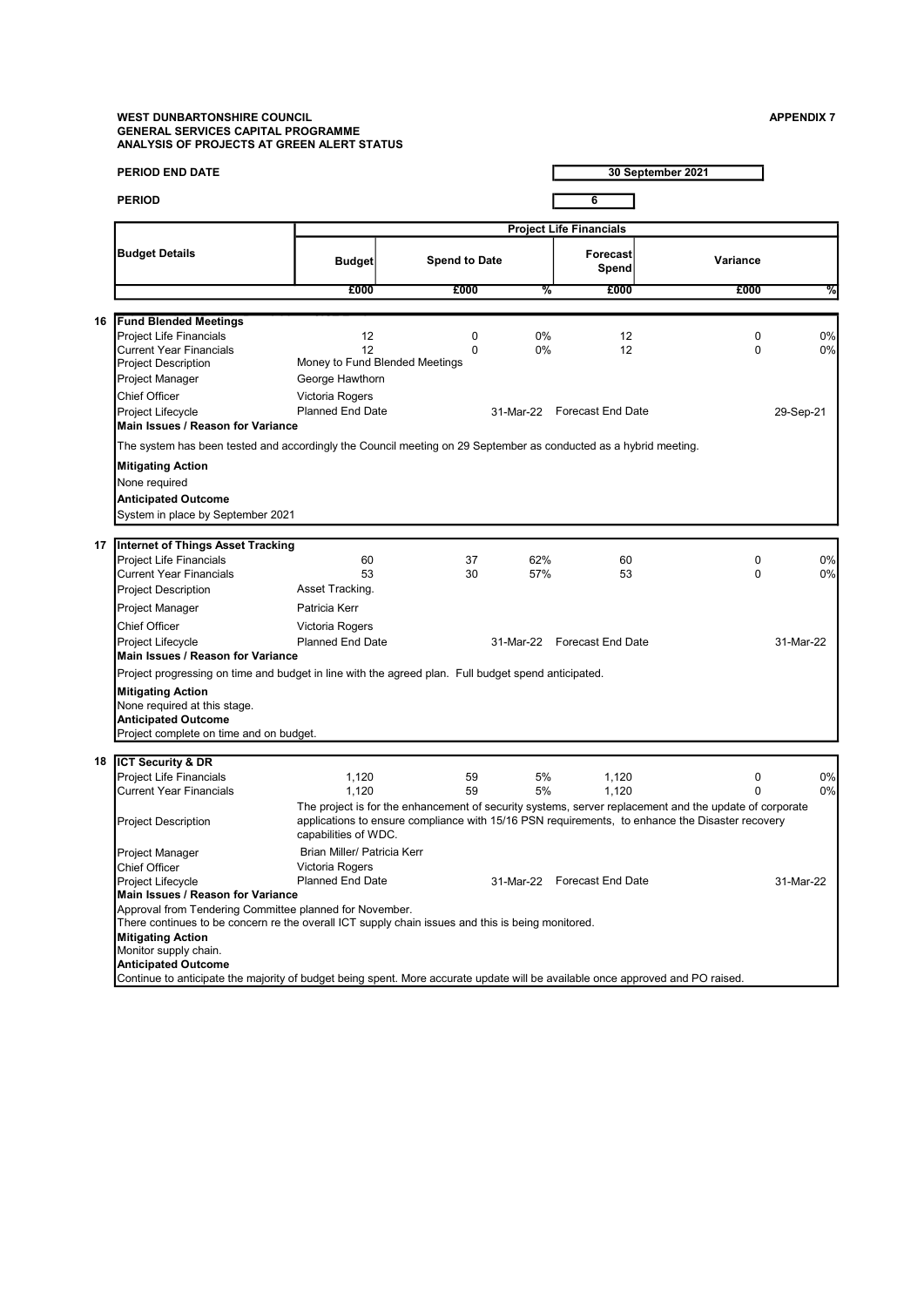# WEST DUNBARTONSHIRE COUNCIL ASSOCIATED AND RESERVE A SERVER ASSOCIATED AND APPENDIX 7 GENERAL SERVICES CAPITAL PROGRAMME ANALYSIS OF PROJECTS AT GREEN ALERT STATUS

|    | <b>PERIOD END DATE</b>                                                                                                                                       |                                            |                                                 |            |                                | 30 September 2021                                                                                      |           |
|----|--------------------------------------------------------------------------------------------------------------------------------------------------------------|--------------------------------------------|-------------------------------------------------|------------|--------------------------------|--------------------------------------------------------------------------------------------------------|-----------|
|    | <b>PERIOD</b>                                                                                                                                                |                                            |                                                 |            | 6                              |                                                                                                        |           |
|    |                                                                                                                                                              |                                            |                                                 |            | <b>Project Life Financials</b> |                                                                                                        |           |
|    | <b>Budget Details</b>                                                                                                                                        | <b>Budget</b>                              | <b>Spend to Date</b>                            |            | <b>Forecast</b><br>Spend       | Variance                                                                                               |           |
|    |                                                                                                                                                              | £000                                       | £000                                            |            | %<br>£000                      | £000                                                                                                   | %         |
|    |                                                                                                                                                              |                                            |                                                 |            |                                |                                                                                                        |           |
| 16 | <b>Fund Blended Meetings</b><br>Project Life Financials<br>Current Year Financials<br><b>Project Description</b><br>Project Manager                          | 12<br>12<br>George Hawthorn                | 0<br>$\Omega$<br>Money to Fund Blended Meetings | 0%<br>0%   | 12<br>12                       | 0<br>$\Omega$                                                                                          | 0%<br>0%  |
|    | Chief Officer                                                                                                                                                | Victoria Rogers                            |                                                 |            |                                |                                                                                                        |           |
|    | Project Lifecycle                                                                                                                                            | <b>Planned End Date</b>                    |                                                 |            | 31-Mar-22 Forecast End Date    |                                                                                                        | 29-Sep-21 |
|    | <b>Main Issues / Reason for Variance</b>                                                                                                                     |                                            |                                                 |            |                                |                                                                                                        |           |
|    | The system has been tested and accordingly the Council meeting on 29 September as conducted as a hybrid meeting.                                             |                                            |                                                 |            |                                |                                                                                                        |           |
|    | <b>Mitigating Action</b><br>None required<br><b>Anticipated Outcome</b>                                                                                      |                                            |                                                 |            |                                |                                                                                                        |           |
|    | System in place by September 2021                                                                                                                            |                                            |                                                 |            |                                |                                                                                                        |           |
|    |                                                                                                                                                              |                                            |                                                 |            |                                |                                                                                                        |           |
|    | 17   Internet of Things Asset Tracking                                                                                                                       |                                            |                                                 |            |                                |                                                                                                        |           |
|    | <b>Project Life Financials</b><br>Current Year Financials                                                                                                    | 60<br>53                                   | 37<br>30                                        | 62%<br>57% | 60<br>53                       | 0<br>$\Omega$                                                                                          | 0%        |
|    | <b>Project Description</b>                                                                                                                                   | Asset Tracking.                            |                                                 |            |                                |                                                                                                        | 0%        |
|    |                                                                                                                                                              |                                            |                                                 |            |                                |                                                                                                        |           |
|    | Project Manager                                                                                                                                              | Patricia Kerr                              |                                                 |            |                                |                                                                                                        |           |
|    | Chief Officer                                                                                                                                                | Victoria Rogers<br><b>Planned End Date</b> |                                                 |            | 31-Mar-22 Forecast End Date    |                                                                                                        | 31-Mar-22 |
|    | Project Lifecycle<br>Main Issues / Reason for Variance                                                                                                       |                                            |                                                 |            |                                |                                                                                                        |           |
|    | Project progressing on time and budget in line with the agreed plan. Full budget spend anticipated.                                                          |                                            |                                                 |            |                                |                                                                                                        |           |
|    | <b>Mitigating Action</b>                                                                                                                                     |                                            |                                                 |            |                                |                                                                                                        |           |
|    | None required at this stage.                                                                                                                                 |                                            |                                                 |            |                                |                                                                                                        |           |
|    | <b>Anticipated Outcome</b><br>Project complete on time and on budget.                                                                                        |                                            |                                                 |            |                                |                                                                                                        |           |
|    |                                                                                                                                                              |                                            |                                                 |            |                                |                                                                                                        |           |
|    | 18 <b>ICT Security &amp; DR</b>                                                                                                                              |                                            |                                                 |            |                                |                                                                                                        |           |
|    | <b>Project Life Financials</b><br><b>Current Year Financials</b>                                                                                             | 1,120                                      | 59<br>59                                        | 5%<br>5%   | 1,120                          | 0<br>$\Omega$                                                                                          | 0%<br>0%  |
|    |                                                                                                                                                              | 1,120                                      |                                                 |            | 1,120                          | The project is for the enhancement of security systems, server replacement and the update of corporate |           |
|    | <b>Project Description</b>                                                                                                                                   | capabilities of WDC.                       |                                                 |            |                                | applications to ensure compliance with 15/16 PSN requirements, to enhance the Disaster recovery        |           |
|    | Project Manager                                                                                                                                              | Brian Miller/ Patricia Kerr                |                                                 |            |                                |                                                                                                        |           |
|    | <b>Chief Officer</b>                                                                                                                                         | Victoria Rogers                            |                                                 |            |                                |                                                                                                        |           |
|    | Project Lifecycle<br>Main Issues / Reason for Variance                                                                                                       | <b>Planned End Date</b>                    |                                                 |            | 31-Mar-22 Forecast End Date    |                                                                                                        | 31-Mar-22 |
|    | Approval from Tendering Committee planned for November.                                                                                                      |                                            |                                                 |            |                                |                                                                                                        |           |
|    | There continues to be concern re the overall ICT supply chain issues and this is being monitored.                                                            |                                            |                                                 |            |                                |                                                                                                        |           |
|    | <b>Mitigating Action</b>                                                                                                                                     |                                            |                                                 |            |                                |                                                                                                        |           |
|    | Monitor supply chain.                                                                                                                                        |                                            |                                                 |            |                                |                                                                                                        |           |
|    | <b>Anticipated Outcome</b><br>Continue to anticipate the majority of budget being spent. More accurate update will be available once approved and PO raised. |                                            |                                                 |            |                                |                                                                                                        |           |